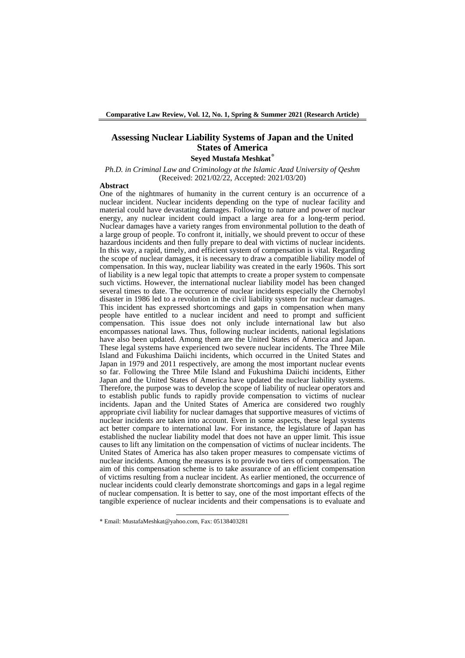### **Assessing Nuclear Liability Systems of Japan and the United States of America Seyed Mustafa Meshkat\***

*Ph.D. in Criminal Law and Criminology at the Islamic Azad University of Qeshm* (Received: 2021/02/22, Accepted: 2021/03/20)

#### **Abstract**

One of the nightmares of humanity in the current century is an occurrence of a nuclear incident. Nuclear incidents depending on the type of nuclear facility and material could have devastating damages. Following to nature and power of nuclear energy, any nuclear incident could impact a large area for a long-term period. Nuclear damages have a variety ranges from environmental pollution to the death of a large group of people. To confront it, initially, we should prevent to occur of these hazardous incidents and then fully prepare to deal with victims of nuclear incidents. In this way, a rapid, timely, and efficient system of compensation is vital. Regarding the scope of nuclear damages, it is necessary to draw a compatible liability model of compensation. In this way, nuclear liability was created in the early 1960s. This sort of liability is a new legal topic that attempts to create a proper system to compensate such victims. However, the international nuclear liability model has been changed several times to date. The occurrence of nuclear incidents especially the Chernobyl disaster in 1986 led to a revolution in the civil liability system for nuclear damages. This incident has expressed shortcomings and gaps in compensation when many people have entitled to a nuclear incident and need to prompt and sufficient compensation. This issue does not only include international law but also encompasses national laws. Thus, following nuclear incidents, national legislations have also been updated. Among them are the United States of America and Japan. These legal systems have experienced two severe nuclear incidents. The Three Mile Island and Fukushima Daiichi incidents, which occurred in the United States and Japan in 1979 and 2011 respectively, are among the most important nuclear events so far. Following the Three Mile Island and Fukushima Daiichi incidents, Either Japan and the United States of America have updated the nuclear liability systems. Therefore, the purpose was to develop the scope of liability of nuclear operators and to establish public funds to rapidly provide compensation to victims of nuclear incidents. Japan and the United States of America are considered two roughly appropriate civil liability for nuclear damages that supportive measures of victims of nuclear incidents are taken into account. Even in some aspects, these legal systems act better compare to international law. For instance, the legislature of Japan has established the nuclear liability model that does not have an upper limit. This issue causes to lift any limitation on the compensation of victims of nuclear incidents. The United States of America has also taken proper measures to compensate victims of nuclear incidents. Among the measures is to provide two tiers of compensation. The aim of this compensation scheme is to take assurance of an efficient compensation of victims resulting from a nuclear incident. As earlier mentioned, the occurrence of nuclear incidents could clearly demonstrate shortcomings and gaps in a legal regime of nuclear compensation. It is better to say, one of the most important effects of the tangible experience of nuclear incidents and their compensations is to evaluate and

<sup>-</sup>\* Email: MustafaMeshkat@yahoo.com, Fax: 05138403281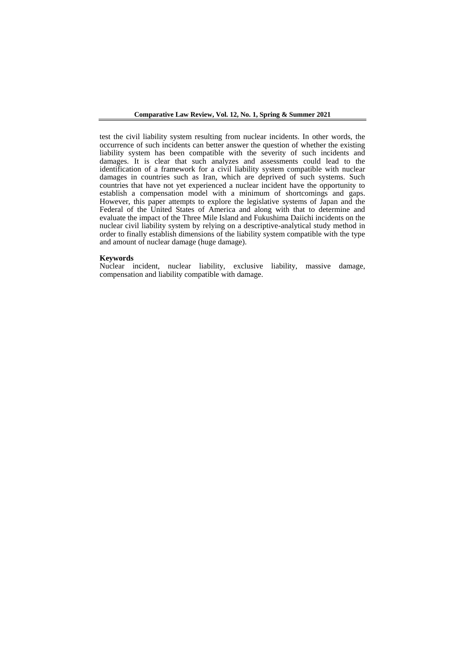test the civil liability system resulting from nuclear incidents. In other words, the occurrence of such incidents can better answer the question of whether the existing liability system has been compatible with the severity of such incidents and damages. It is clear that such analyzes and assessments could lead to the identification of a framework for a civil liability system compatible with nuclear damages in countries such as Iran, which are deprived of such systems. Such countries that have not yet experienced a nuclear incident have the opportunity to establish a compensation model with a minimum of shortcomings and gaps. However, this paper attempts to explore the legislative systems of Japan and the Federal of the United States of America and along with that to determine and evaluate the impact of the Three Mile Island and Fukushima Daiichi incidents on the nuclear civil liability system by relying on a descriptive-analytical study method in order to finally establish dimensions of the liability system compatible with the type and amount of nuclear damage (huge damage).

#### **Keywords**

Nuclear incident, nuclear liability, exclusive liability, massive damage, compensation and liability compatible with damage.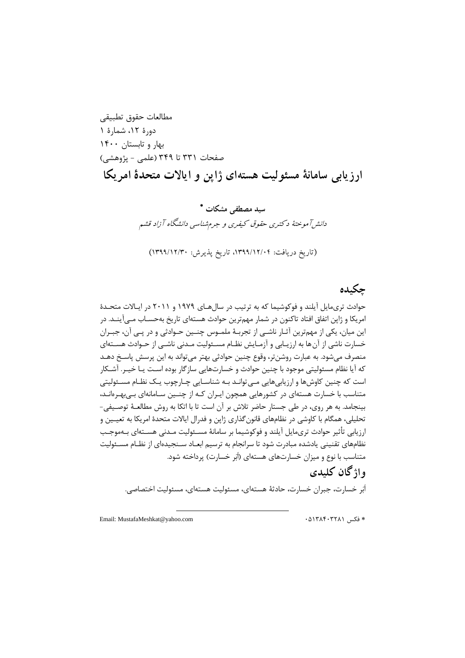مطالعات حقوق تطبیقی دورۀ ١٢، شمارۀ ١ بهار و تابستان 1400 صفحات ٣٣١ تا ٣۴٩ (علمی - پژوهشی) **ارزیابی سامانۀ مسئولیت هستهای ژاپن و ایاالت متحدۀ امریکا**

> **سید مصطفی مشکات**  دانش آموختهٔ دکتری حقوق کیفری و جرم شناسی دانشگاه آزاد قشم (تاریخ دریافت: ۱۳۹۹/۱۲/۲۰، تاریخ پذیرش: ۱۳۹۹/۱۲/۳۰)

# **چکیده**

حوادث تریمایل آیلند و فوکوشیما که به ترتیب در سالهای ۱۹۷۹ و ۲۰۱۱ در ایـالات متحـدۀ امریکا و ژاپن اتفاق افتاد تاکنون در شمار مهمترین حوادث هستهای تاریخ بهحسـاب مـیآینـد. در این میان، یکی از مهمترین آثـار ناشـی از تجربـهٔ ملمـوس چنـین حـوادثی و در پـی آن، جبـران خسارت ناشی از آن ها به ارزیـابی و آزمـایش نظـام مسـئولیت مـدنی ناشـبی از حـوادث هســتهای منصرف می شود. به عبارت روشن تر، وقوع چنین حوادثی بهتر می تواند به این پرسش پاسـخ دهـد که آیا نظام مسئولیتی موجود با چنین حوادث و خسارتهایی سازگار بوده اسـت یــا خیــر. آشــکار است که چنین کاوشها و ارزیابیهایی مـی توانـد بـه شناسـایی چـارچوب یـک نظـام مسـئولیتی متناسب با خسارت هستهای در کشورهایی همچون ایـران کـه از چنـین سـامانهای بـی.بهـرهانـد، بینجامد. به هر روی، در طی جستار حاضر تلاش بر آن است تا با اتکا به روش مطالعـهٔ توصـیفی-تحلیلی، همگام با کاوشی در نظامهای قانونگذاری ژاپن و فدرال ایالات متحدۀ امریکا به تعیـین و ارزیابی تأثیر حوادث تریمایل آیلند و فوکوشیما بر سامانهٔ مسـئولیت مـدنی هسـتهای بـهموجـب نظامهای تقنینی یادشده مبادرت شود تا سرانجام به ترسیم ابعـاد سـنجیدهای از نظـام مسـئولیت متناسب با نوع و میزان خسارتهای هستهای (اَبَر خسارت) پرداخته شود.

# **واژگان کلیدی**

اَبَر خسارت، جبران خسارت، حادثهٔ هستهای، مسئولیت هستهای، مسئولیت اختصاصی.

Email: MustafaMeshkat@yahoo.com 05138403281 فکس

1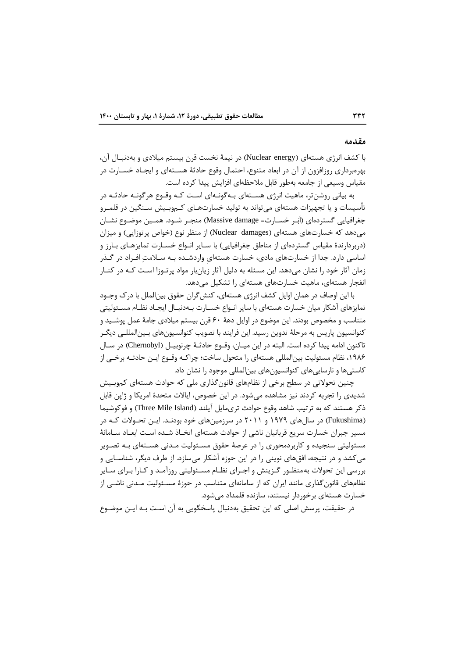### **مقدمه**

با کشف انرژی هستهای (Nuclear energy) در نیمهٔ نخست قرن بیستم میلادی و بهدنبـال آن، بهرهبرداری روزافزون از آن در ابعاد متنوع، احتمال وقوع حادثهٔ هسـتهای و ایجـاد خسـارت در مقیاس وسیعی از جامعه بهطور قابل ملاحظهای افزایش پیدا کرده است.

به بیانی روشنتر، ماهیت انرژی هسـتهای بـهگونـهای اسـت کـه وقـوع هرگونـه حادثـه در تأسیسات و یا تجهیزات هستهای می تواند به تولید خسارتهای کهوبیش سـنگین در قلمـرو جغرافیایی گستردهای (اَبَـر خســارت= Massive damage) منجـر شــود. همــین موضــوع نشــان میدهد که خسارتهای هستهای (Nuclear damages) از منظر نوع (خواص پرتوزایی) و میزان (دربردارندۀ مقیاس گستردهای از مناطق جغرافیایی) با سـایر انـواع خسـارت تمایزهـای بـارز و اساسی دارد. جدا از خسارتهای مادی، خسارت هستهای واردشـده بـه سـلامتِ افـراد در گـذر زمان آثار خود را نشان میدهد. این مسئله به دلیل آثار زیانبار مواد پرتـوزا اسـت کـه در کنـار انفجار هستهای، ماهیت خسارتهای هستهای را تشکیل مے دهد.

با این اوصاف در همان اوایل کشف انرژی هستهای، کنش گران حقوق بینالملل با درک وجـود تمایزهای آشکار میان خسارت هستهای با سایر انـواع خسـارت بـهدنبـال ایجـاد نظـام مسـئولیتی متناسب و مخصوص بودند. این موضوع در اوایل دههٔ ۶۰ قرن بیستم میلادی جامهٔ عمل پوشـید و کنوانسیون پاریس به مرحلهٔ تدوین رسید. این فرایند با تصویب کنوانسیونهای بـینالمللـی دیگـر تاکنون ادامه پیدا کرده است. البته در این میـان، وقـوع حادثـهٔ چرنوبیـل (Chernobyl) در سـال ۱۹۸۶، نظام مسئولیت بین|لمللی هستهای را متحول ساخت؛ چراکـه وقــوع ایــن حادثــه برخــی از کاستی ها و نارسایی های کنوانسیون های بین|لمللی موجود را نشان داد.

چنین تحولاتی در سطح برخی از نظامهای قانون گذاری ملی که حوادث هستهای کموبـیش شدیدی را تجربه کردند نیز مشاهده میشود. در این خصوص، ایالات متحدۀ امریکا و ژاپن قابل ذکر هستند که به ترتیب شاهد وقوع حوادث تریمایل آیلند (Three Mile Island) و فوکوشیما (Fukushima) در سالهای ۱۹۷۹ و ۲۰۱۱ در سرزمینهای خود بودنـد. ایــن تحـولات کـه در مسیر جبران خسارت سریع قربانیان ناشی از حوادث هستهای اتخـاذ شـده اسـت ابعـاد سـامانهٔ مسئولیتی سنجیده و کاربردمحوری را در عرصهٔ حقوق مسـئولیت مـدنی هسـتهای بـه تصـویر می کشد و در نتیجه، افقهای نوینی را در این حوزه آشکار می سازد. از طرف دیگر، شناسـایی و بررسی این تحولات بهمنظـور گـزینش و اجـرای نظـام مسـئولیتی روزآمـد و کـارا بـرای سـایر نظامهای قانون گذاری مانند ایران که از سامانهای متناسب در حوزۀ مسـئولیت مـدنی ناشــی از خسارت هستهای برخوردار نیستند، سازنده قلمداد می شود.

در حقیقت، پرسش اصلی که این تحقیق بهدنبال پاسخگویی به آن است بـه ایـن موضـوع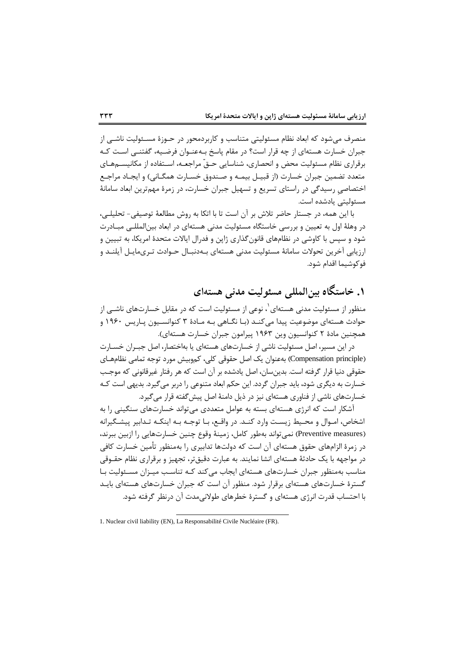منصرف میشود که ابعاد نظام مسئولیتی متناسب و کاربردمحور در حـوزۀ مسـئولیت ناشـی از جبران خسارت هستهای از چه قرار است؟ در مقام پاسخ بـهعنــوان فرضــيه، گفتنــی اســت کــه برقراری نظام مسئولیت محض و انحصاری، شناسایی حـقّ مراجعـه، اسـتفاده از مکانیســمهـای متعدد تضمین جبران خسارت (از قبیـل بیمـه و صـندوق خسـارت همگـانی) و ایجـاد مراجـع اختصاصی رسیدگی در راستای تسریع و تسهیل جبران خسارت، در زمرۀ مهمترین ابعاد سامانۀ مستولیتی یادشده اسن

با این همه، در جستار حاضر تلاش بر آن است تا با اتکا به روش مطالعهٔ توصیفی- تحلیلے، در وهلهٔ اول به تعیین و بررسی خاستگاه مسئولیت مدنی هستهای در ابعاد بین|لمللــی مبــادرت شود و سپس با کاوشی در نظامهای قانونگذاری ژاپن و فدرال ایالات متحدۀ امریکا، به تبیین و ارزیابی آخرین تحولات سامانهٔ مسئولیت مدنی هستهای بـهدنبـال حـوادث تـریمایـل آیلنـد و فوکوشیما اقداس شود

# **.1 خاستگاه بینالمللی مسئولیت مدنی هستهای**

منظور از مسئولیت مدنی هستهای<sup>٬</sup>، نوعی از مسئولیت است که در مقابل خسارتهای ناشـی از حوادث هستهای موضوعیت پیدا میکند (بـا نگـاهی بـه مـادۀ ۳ کنوانسـیون پـاریس ۱۹۶۰ و همچنین مادۀ ۲ کنوانسیون وین ۱۹۶۳ پیرامون جبران خسارت هستهای).

در این مسیر، اصل مسئولیت ناشی از خسارتهای هستهای یا بهاختصار، اصل جبـران خســارت (Compensation principle) بهعنوان یک اصل حقوقی کلی، کموبیش مورد توجه تمامی نظامهـای حقوقی دنیا قرار گرفته است. بدین سان، اصل یادشده بر آن است که هر رفتار غیرقانونی که موجـب خسارت به دیگری شود، باید جبران گردد. این حکم ابعاد متنوعی را دربر می گیرد. بدیهی است کـه خسارتهای ناشی از فناوری هستهای نیز در ذیل دامنهٔ اصل پیش گفته قرار می گیرد.

آشکار اسن که اارژی هستهای بسته به عوامل متعددی میتوااد خسارتهای سنگینی را به اشخاص، امـوال و محـیط زیسـت وارد کنـد. در واقـع، بـا توجـه بـه اینکـه تـدابیر پیشـگیرانه (Preventive measures) نمی تواند بهطور کامل، زمینهٔ وقوع چنین خسارتهایی را ازبین ببرند، در زمرۀ الزاسهای حقوق هستهای آن اسن که دولنها تدابیری را بهمنمور تأمین خسارت کافی در مواجهه با یک حادثهٔ هستهای انشا نمایند. به عبارت دقیقتر، تجهیز و برقراری نظام حقــوقی مناسب بهمنظور جبران خسارتهای هستهای ایجاب میکند کـه تناسـب میـزان مسـئولیت بـا گسترۀ خسارتهای هستهای برقرار شود. منظور آن است که جبران خسارتهای هستهای بایـد با احتساب قدرت انرژی هستهای و گسترۀ خطرهای طولانیمدت آن درنظر گرفته شود.

<sup>1.</sup> Nuclear civil liability (EN), La Responsabilité Civile Nucléaire (FR).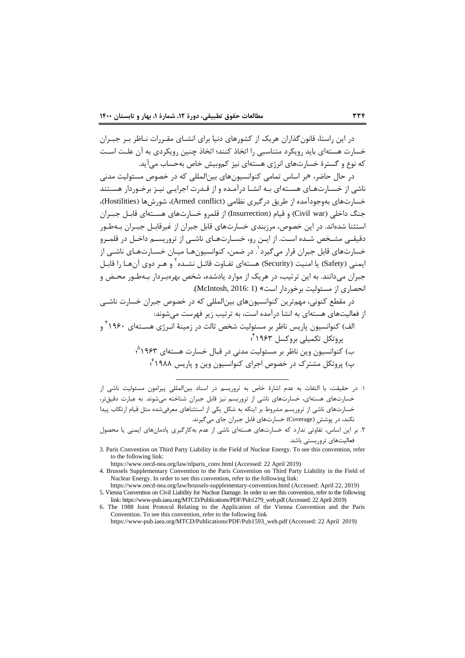در این راستا، قانون گذاران هریک از کشورهای دنیا برای انشـای مقـررات نـاظر بـر جبـران خسارت هستهای باید رویکرد متناسبی را اتخاذ کنند؛ اتخاذ نین رویکردی به آن علان اسان که نوع و گسترۀ خسارتهای انرژی هستهای نیز کموبیش خاص بهحساب می آید.

در حال حاضر، «بر اساس تمامی کنوانسیونهای بین|لمللی که در خصوص مسئولیت مدنی ناشی از خسارتهای هستهای بـه انشـا درآمـده و از قـدرت اجرایـی نیـز برخـوردار هسـتند خسارتهای بهوجودآمده از طریق در گیری نظامی (Armed conflict)، شورشها (Hostilities)، جنگ داخلی (Civil war) و قیام (Insurrection) از قلمرو خسارتهای هسـتهای قابـل جبـران استثنا شدهاند. در این خصوص، مرزبندی خسارتهای قابل جبران از غیرقابـل جبـران بـهطـور دقیقـی مشـخص شـده اسـت. از ایـن رو، خسـارتهـای ناشـی از تروریسـم داخـل در قلمـرو خسارتهای قابل جبران قرار میگیرد<sup>'</sup>. در ضمن، کنوانسیونهـا میـان خسـارتهـای ناشـی از یمنی (Safety) یا امنیت (Security) هستهای تفـاوت قائـل نشــده <sup>۲</sup> و هـر دوی آنهـا را قابـل جبران میدانند. به این ترتیب، در هریک از موارد یادشده، شخص بهرهبـردار بـهطـور محـض و ااحصاری از مستولین برخوردار اسن« (1 2016: ,McIntosh (

در مقطع کنونی، مهمترین کنوانسیونهای بینالمللی که در خصوص جبران خسارت ناشــ ، از فعالینهای هستهای به ااشا درآمده اسن، به ترتیب زیر فهرسن میشواد:

- الف) کنوانسیون پاریس ناظر بر مسئولیت شخص ثالث در زمینهٔ انـرژی هســتهای ۱۹۶۰ ؓ و 4 پروتکل تکمیلی بروکسل 1963 ؛ ب) کنوانسیون وین ناظر بر مسئولیت مدنی در قبال خسارت هستهای ۱۹۶۳<sup>م</sup>؛ پ) پروتکل مشترک در خصوص اجرای کنوانسیون وین و پاریس ۱۹۸۸ <sup>۶</sup>،
- 1 در حقیقن، با التفات به عدس اشارۀ خاص به تروریسم در اسناد بینالمللیِ پیرامون مستولین ااشی از خسارتهای هستهای، خسارتهای ناشی از تروریسم نیز قابل جبران شناخته میشوند. به عبارت دقیقتر، خسارتهای ناشی از تروریسم مشروط بر اینکه به شکل یکی از استثناهای معرفیشده مثل قیام ارتکاب پیدا نکند، در پوشش (Coverage) خسارتهای قابل جبران جای میگیرند.

3. Paris Convention on Third Party Liability in the Field of Nuclear Energy. To see this convention, refer to the following link:

https://www.oecd-nea.org/law/nlparis\_conv.html (Accessed: 22 April 2019)

1

4. Brussels Supplementary Convention to the Paris Convention on Third Party Liability in the Field of Nuclear Energy. In order to see this convention, refer to the following link:

۲. بر این اساس، تفاوتی ندارد که خسارتهای هستهای ناشی از عدم بهکارگیری پادمانهای ایمنی یا محصول فعالینهای تروریستی باشد

https://www.oecd-nea.org/law/brussels-supplementary-convention.html (Accessed: April 22, 2019) 5. Vienna Convention on Civil Liability for Nuclear Damage. In order to see this convention, refer to the following link: https://www-pub.iaea.org/MTCD/Publications/PDF/Pub1279\_web.pdf (Accessed: 22 April 2019)

<sup>6.</sup> The 1988 Joint Protocol Relating to the Application of the Vienna Convention and the Paris Convention. To see this convention, refer to the following link

https://www-pub.iaea.org/MTCD/Publications/PDF/Pub1593\_web.pdf (Accessed: 22 April 2019)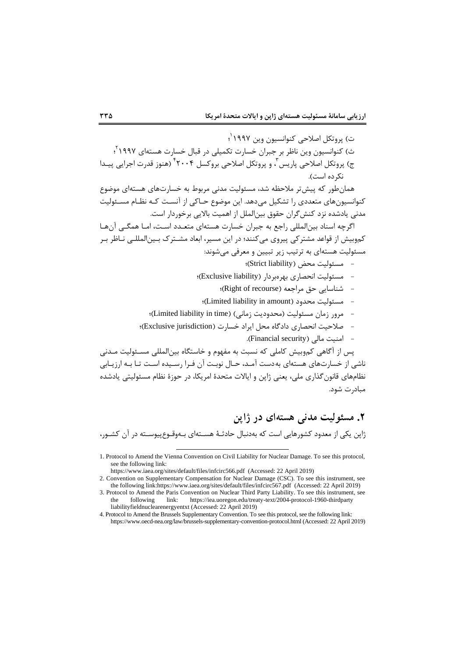ت) پروتکل اصلاحی کنوانسیون وین ۱۹۹۷<sup>٬</sup>؛ ث) کنوانسیون وین ناظر بر جبران خسارت تکمیلی در قبال خسارت هستهای ۱۹۹۷<sup>۲</sup>؛ ج) پروتکل اصلاحی پاریس <sup>۳</sup>، و پروتکل اصلاحی بروکسل ۲۰۰۴ ٔ (هنوز قدرت اجرایی پیـدا نک ده است). همانطور که پینتر مالحمه شد، مستولین مدای مربوط به خسارتهای هستهای موضوع کنوانسیونهای متعددی را تشکیل می،دهد. این موضوع حـاکی از آنسـت کـه نظـام مسـئولیت مدنی یادشده نزد کنش گران حقوق بین الملل از اهمیت بالایی برخوردار است.

اگرچه اسناد بینالمللی راجع به جبران خسارت هستهای متعدد است، امـا همگــ آن ها کموبیش از قواعد مشترکی پیروی میکنند؛ در این مسیر، ابعاد مشـترک بـینالمللـی نـاظر بـر مستولین هستهای به ترتیب زیر تبیین و معرفی میشواد:

- مستولین محض )liability Strict)؛
- مستولین ااحصاری بهرهبردار )liability Exclusive)؛
	- $(Right of recourse)$  ) شناسایی حق مراجعه)؛
	- ؛(Limited liability in amount( محدود مستولین -
- مرور زمان مستولین )محدودین زماای( )time in liability Limited)؛
- صالحین ااحصاری دادگاه محل ایراد خسارت )jurisdiction Exclusive)؛
	- $\epsilon$  امنیت مالی (Financial security).

پس از آگاهی کموبیش کاملی که نسبت به مفهوم و خاستگاه بین|لمللی مسـئولیت مـدنی ناشی از خسارتهای هستهای بهدست آمـد، حـال نوبـت آن فـرا رسـیده اسـت تـا بـه ارزیـابی نظامهای قانون گذاری ملی، یعنی ژاپن و ایالات متحدۀ امریکا، در حوزۀ نظام مسئولیتی یادشده مبادرت شود

# **.2 مسئولیت مدنی هستهای در ژاپن**

ژاپن یکی از معدود کشورهایی اسن که بهدابال حادثا هساته ای باه وقاوع پیوساته در آن کشاور،

1

<sup>1.</sup> Protocol to Amend the Vienna Convention on Civil Liability for Nuclear Damage. To see this protocol, see the following link:

https://www.iaea.org/sites/default/files/infcirc566.pdf (Accessed: 22 April 2019)

<sup>2.</sup> Convention on Supplementary Compensation for Nuclear Damage (CSC). To see this instrument, see the following link:https://www.iaea.org/sites/default/files/infcirc567.pdf (Accessed: 22 April 2019)

<sup>3.</sup> Protocol to Amend the Paris Convention on Nuclear Third Party Liability. To see this instrument, see the following link: https://iea.uoregon.edu/treaty-text/2004-protocol-1960-thirdparty liabilityfieldnuclearenergyentxt (Accessed: 22 April 2019)

<sup>4.</sup> Protocol to Amend the Brussels Supplementary Convention. To see this protocol, see the following link: https://www.oecd-nea.org/law/brussels-supplementary-convention-protocol.html (Accessed: 22 April 2019)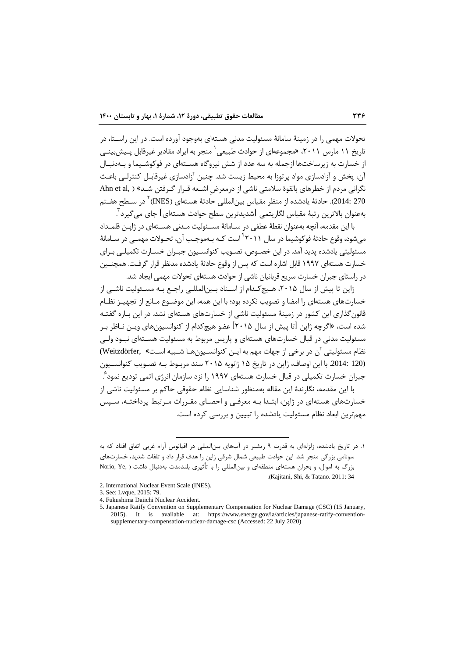تحولات مهمی را در زمینهٔ سامانهٔ مسئولیت مدنی هستهای بهوجود آورده است. در این راسـتا، در تاریخ ۱۱ مارس ۲۰۱۱، «مجموعهای از حوادث طبیعی<sup>٬</sup> منجر به ایراد مقادیر غیرقابل پـیش۱بینــی از خسارت به زیرساختها ازجمله به سه عدد از شش نیروگاه هسـتهای در فوکوشـیما و بـهدنبـال آن، پخش و آزادسازی مواد پرتوزا به محیط زیست شد. چنین آزادسازی غیرقابـل کنترلـی باعـث نگرانی مردم از خطرهای بالقوۀ سلامتی ناشی از درمعرض اشـعه قـرار گـرفتن شـد» ( ,Ahn et al 270 :2014). حادثهٔ یادشده از منظر مقیاس بین|لمللی حادثهٔ هستهای (INES) <sup>۲</sup> در سـطح هفــتم بهعنوان بالاترین رتبهٔ مقیاس لگاریتمی [شدیدترین سطح حوادث هستهای] جای میگیرد ّ <sup>-</sup>

با این مقدمه، آنچه بهعنوان نقطهٔ عطفی در سـامانهٔ مســئولیت مـدنی هســتهای در ژاپــز، قلمـداد میشود، وقوع حادثهٔ فوکوشیما در سال ۲۰۱۱ ٔ است کـه بـهموجـب آن، تحـولات مهمــی در ســامانهٔ مسئولیتی یادشده پدید آمد. در این خصـوص، تصـویب کنوانسـیون جبـران خسـارت تکمیلـی بـرای خسارت هستهای ۱۹۹۷ قابل اشاره است که پس از وقوع حادثهٔ یادشده مدنظر قرار گرفـت. همچنـین در راستای جبران خسارت سریع قربانیان ناشی از حوادث هستهای تحولات مهمی ایجاد شد.

ژاپن تا پیش از سال ۲۰۱۵، هـیچ *کـد*ام از اســناد بـین|لمللـی راجـع بـه مســئولیت ناشــی از خسارتهای هستهای را امضا و تصویب نکرده بود؛ با این همه، این موضـوع مـانع از تجهیـز نظـام قانون گذاری این کشور در زمینهٔ مسئولیت ناشی از خسارتهای هستهای نشد. در این بـاره گفتـه شده است، «اگرچه ژاپن [تا پیش از سال ۲۰۱۵] عضو هیچ *کد*ام از کنوانسیونهای ویـن نـاظر بـر مسئولیت مدنی در قبال خسارتهای هستهای و پاریس مربوط به مسئولیت هسـتهای نبـود ولـی نظام مسئولیتی آن در برخی از جهات مهم به ایـن کنوانسـیون هـا شـبیه اسـت» ,Weitzdörfer() (120 2014: با این اوصاف، ژاپن در تاریخ ۱۵ ژانویه ۲۰۱۵ سند مربـوط بـه تصـویب کنوانســیون جبران خسارت تکمیلی در قبال خسارت هستهای ۱۹۹۷ را نزد سازمان انرژی اتمی تودیع نمود<sup>۹</sup>. با این مقدمه، نگارندۀ این مقاله بهمنظور شناسایی نظام حقوقی حاکم بر مسئولیت ناشی از خسارتهای هستهای در ژاپن، ابتـدا بـه معرفـی و احصـای مقـررات مـرتبط پرداختـه، سـپس مهمترین ابعاد نظام مسئولیت یادشده را تبیین و بررسی کرده است.

<sup>1.</sup> در تاریخ یادشده، زلزلهای به قدرت ۹ ریشتر در آبهای بینالمللی در اقیانوس آرام غربی اتفاق افتاد که به سواامی بزرگی منبر شد این حوادث طبیعی شمال شرقی ژاپن را هدف قرار داد و تلفات شدید، خسارتهای بزرگ به اموال، و بحران هستهای منطقهای و بین|لمللی را با تأثیری بلندمدت بهدنبال داشت ( ,Norio, Ye )Kajitani, Shi, & Tatano. 2011: 34

<sup>2.</sup> International Nuclear Event Scale (INES).

<sup>3.</sup> See: Lvque, 2015: 79.

<sup>4.</sup> Fukushima Daiichi Nuclear Accident.

<sup>5.</sup> Japanese Ratify Convention on Supplementary Compensation for Nuclear Damage (CSC) (15 January, 2015). It is available at: https://www.energy.gov/ia/articles/japanese-ratify-conventionsupplementary-compensation-nuclear-damage-csc (Accessed: 22 July 2020)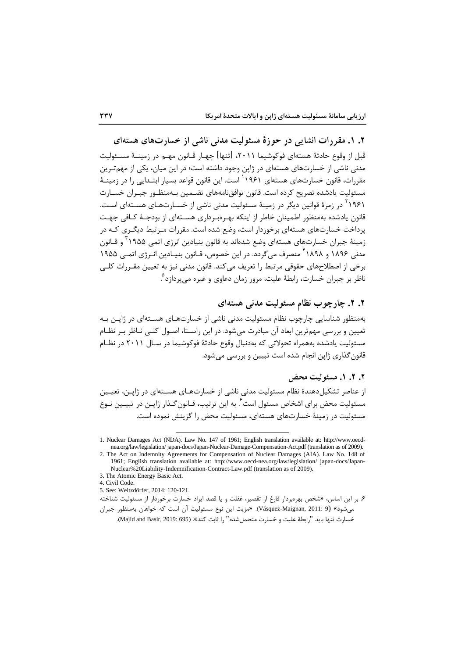**.2 .1 مقررات انشایی در حوزۀ مسئولیت مدنی ناشی از خسارتهای هستهای**

قبل از وقوع حادثهٔ هستهای فوکوشیما ۲۰۱۱، [تنها] چهـار قـانون مهـم در زمینــهٔ مســئولیت مدنی ناشی از خسارتهای هستهای در ژاپن وجود داشته است؛ در این میان، یکی از مهمتـرین مقررات، قانون خسارتهای هستهای ۱۹۶۱<sup>٬ ا</sup>ست. این قانون قواعد بسیار ابتـدایی را در زمینــهٔ مسئولیت یادشده تصریح کرده است. قانون توافقiامههای تضـمین بـهمنظـور جبـران خسـارت ۱۹۶۱<sup>۲</sup> در زمرهٔ قوانین دیگر در زمینهٔ مسئولیت مدنی ناشی از خسـارتهـای هســتهای اسـت. قانون یادشده بهمنظور اطمینان خاطر از اینکه بهـرمبـرداری هســتهای از بودجـهٔ کـافی جهـت پرداخت خسارتهای هستهای برخوردار است، وضع شده است. مقررات مـر تبط دیگـری کـه در زمینهٔ جبران خسارتهای هستهای وضع شدهاند به قانون بنیادین انرژی اتمی ۱۹۵۵ ّ و قــانون مدنی ۱۸۹۶ و ۱۸۹۸<sup>۴</sup> منصرف میگردد. در این خصوص، قــانون بنیــادین انــرژی اتمــی ۱۹۵۵ برخی از اصطلاحهای حقوقی مرتبط را تعریف میکند. قانون مدنی نیز به تعیین مقـررات کلـی ناظر بر جبران خسارت، رابطهٔ علیت، مرور زمان دعاوی و غیره میپردازد<sup>۹</sup>. **.** 

## **.2 .2 چارچوب نظام مسئولیت مدنی هستهای**

بهمنظور شناسایی چارچوب نظام مسئولیت مدنی ناشی از خسارتهـای هســتهای در ژاپــن بـه تعیین و بررسی مهمترین ابعاد آن مبادرت می شود. در این راسـتا، اصـول کلـبی نـاظر بـر نظـام مسئولیت یادشده بههمراه تحولاتی که بهدنبال وقوع حادثهٔ فوکوشیما در سال ۲۰۱۱ در نظـام قانون گذاری ژاپن انجام شده است تبیین و بررسی می شود.

## **.2 .2 .1 مسئولیت محض**

از عناصر تشکیل دهندۀ نظام مسئولیت مدنی ناشی از خسارتهای هسستهای در ژاپـن، تعیـین مسئولیت محض برای اشخاص مسئول است<sup>۶</sup>. به این ترتیب، قـانون *گ*ـذار ژاپــن در تبیــین نــوع مسئولیت در زمینهٔ خسارتهای هستهای، مسئولیت محض را گزینش نموده است.

4. Civil Code.

5. See: Weitzdörfer, 2014: 120-121.

-

۶. بر این اساس، «شخص بهرهبردار فارغ از تقصیر، غفلت و یا قصد ایراد خسارت برخوردار از مسئولیت شناخته میشود» (9 :Vásquez-Maignan, 2011). «مزیت این نوع مسئولیت آن است که خواهان بهمنظور جبران

خسارت تنها باید "رابطهٔ علیت و خسارت متحمل شده" را ثابت کند». (Majid and Basir, 2019: 695).

<sup>1.</sup> Nuclear Damages Act (NDA). Law No. 147 of 1961; English translation available at: http://www.oecdnea.org/law/legislation/ japan-docs/Japan-Nuclear-Damage-Compensation-Act.pdf (translation as of 2009).

<sup>2.</sup> The Act on Indemnity Agreements for Compensation of Nuclear Damages (AIA). Law No. 148 of 1961; English translation available at: http://www.oecd-nea.org/law/legislation/ japan-docs/Japan-Nuclear%20Liability-Indemnification-Contract-Law.pdf (translation as of 2009).

<sup>3.</sup> The Atomic Energy Basic Act.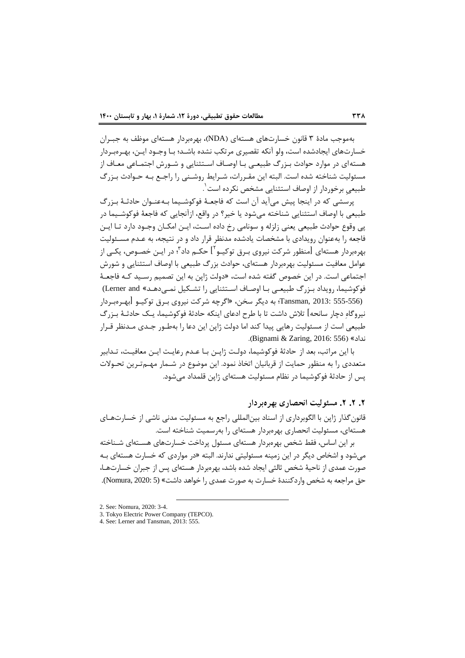بهموجب مادۀ ٣ قانون خسارتهای هستهای (NDA)، بهرمبردار هستهای موظف به جبـران خسارتهای ایجادشده است، ولو آنکه تقصیری مرتکب نشده باشـد؛ بـا وجـود ایـن، بهـرهبـردار هستهای در موارد حوادث بـزرگ طبیعـی بـا اوصـاف اسـتثنایی و شـورش اجتمـاعی معـاف از مسئولیت شناخته شده است. البته این مقـررات، شـرایط روشـنی را راجـع بـه حـوادث بـزرگ طبیعیِ برخوردار از اوصاف استثنایی مشخص نکرده است<sup>'</sup>.

پرسشی که در اینجا پیش میآید آن است که فاجعـهٔ فوکوشـیما بـهعنـوان حادثـهٔ بـزرگ طبیعی با اوصاف استثنایی شناخته میشود یا خیر؟ در واقع، ازآنجایی که فاجعهٔ فوکوشـیما در پی وقوع حوادث طبیعی یعنی زلزله و سونامی رخ داده است، ایـن امکـان وجـود دارد تـا ایـن فاجعه را بهعنوان رویدادی با مشخصات یادشده مدنظر قرار داد و در نتیجه، به عـدم مسـئولیت بهرهبردار هستهای [منظور شرکت نیروی بـرق توکیـو<sup>۲</sup>] حکـم داد<sup>۳</sup>؛ در ایــن خصـوص، یکــی از عوامل معافین مستولین بهرهبردار هستهای، حوادث بزرگ طبیعی با اوصاف استثنایی و شورش اجتماعی است. در این خصوص گفته شده است، «دولت ژاپن به این تصمیم رسـید کـه فاجعـهٔ فوکوشیما، رویداد بـزرگ طبیعـی بـا اوصـاف اسـتثنایی را تشـکیل نمـیدهد.» Lerner and) (135-555 :Tansman, 2013؛ به دیگر سخن، «اگرچه شرکت نیروی بـرق توکیـو [بهـرهبـردار نیروگاه دچار سانحه] تلاش داشت تا با طرح ادعای اینکه حادثهٔ فوکوشیما، یـک حادثـهٔ بـزرگ طبیعی است از مسئولیت رهایی پیدا کند اما دولت ژاپن این دعا را بهطـور جـدی مـدنظر قـرار )Bignami & Zaring, 2016: 556( »اداد

با این مراتب، بعد از حادثهٔ فوکوشیما، دولت ژاپـن بـا عـدم رعایـت ایـن معافیـت، تـدابیر متعددی را به منظور حمایت از قربانیان اتخاذ نمود. این موضوع در شـمار مهـمتـرین تحـولات پس از حادثهٔ فوکوشیما در نظام مسئولیت هستهای ژاپن قلمداد می شود.

### **.2 .2 .2 مسئولیت انحصاری بهرهبردار**

قانون گذار ژاپن با الگوبرداری از اسناد بین|لمللی راجع به مسئولیت مدنی ناشی از خسارتهـای هستهای، مستولین ااحصاری بهرهبردار هستهای را بهرسمین شناخته اسن

بر این اساس، فقط شخص بهرهبردار هستهای مسئول پرداخت خسارتهای هستهای شـناخته میشود و اشخاص دیگر در این زمینه مسئولیتی ندارند. البته «در مواردی که خسارت هستهای بـه صورت عمدی از ناحیهٔ شخص ثالثی ایجاد شده باشد، بهرهبردار هستهای پس از جبران خسارتها، حق مراجعه به شخص واردکنندۀ خسارت به صورت عمدی را خواهد داشت» (5 :Nomura, 2020).

<sup>2.</sup> See: Nomura, 2020: 3-4.

<sup>3.</sup> Tokyo Electric Power Company (TEPCO).

<sup>4.</sup> See: Lerner and Tansman, 2013: 555.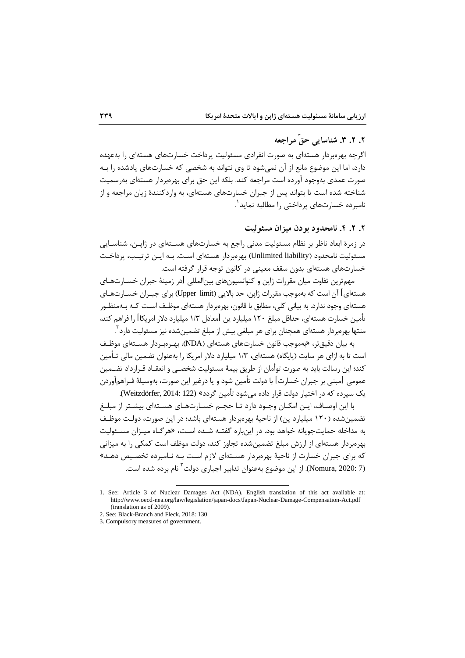## **.2 .2 .3 شناسایی حقّ مراجعه**

اگرچه بهرهبردار هستهای به صورت انفرادی مسئولیت پرداخت خسارتهای هستهای را بهعهده دارد، اما این موضوع مانع از آن نمی شود تا وی نتواند به شخصی که خسارتهای یادشده را بـه صورت عمدی بهوجود آورده است مراجعه کند. بلکه این حق برای بهرهبردار هستهای بهرسمیت شناخته شده است تا بتواند پس از جبران خسارتهای هستهای، به واردکنندۀ زیان مراجعه و از نامبرده خسارتهای پرداختی را مطالبه نماید<sup>٬</sup> 1

## **.2 .2 .4 نامحدود بودن میزان مسئولیت**

در زمرۀ ابعاد ناظر بر نظام مسئولیت مدنی راجع به خسارتهای هســتهای در ژاپـن، شناســایی مسئولیت نامحدود (Unlimited liability) بهرهبردار هستهای است. بـه ایـن ترتیـب، پرداخـت خسارتهای هستهای بدون سقف معینی در کانون توجه قرار گرفته است.

مهمترین تفاوت میان مقررات ژاپن و کنوانسیونهای بینالمللی [در زمینهٔ جبران خسـارتهـای هستهای] آن است که بهموجب مقررات ژاپن، حد بالایی (Upper limit) برای جبـران خســارت۱عـای هستهای وجود ندارد. به بیانی کلی، مطابق با قانون، بهرهبردار هستهای موظـف اسـت کــه بــهمنظــور تأمین خسارت هستهای، حداقل مبلغ 120 میلیارد ین ]معادل 1/3 میلیارد دتر امریکا[ را فراهم کند، منتها بهرهبردار هستهای همچنان برای هر مبلغی بیش از مبلغ تضمینشده نیز مسئولیت دارد<sup>۲</sup> 1

به بیان دقیقتر، «بهموجب قانون خسارتهای هستهای (NDA)، بهـرمبـردار هسـتهای موظـف است تا به ازای هر سایت (پایگاه) هستهای، ۱/۳ میلیارد دلار امریکا را بهعنوان تضمین مالی تـأمین کند؛ این رسالت باید به صورت توأمان از طریق بیمهٔ مسئولیت شخصـی و انعقـاد قـرارداد تضـمین عمومی [مبنی بر جبران خسارت] با دولت تأمین شود و یا درغیر این صورت، بهوسیلهٔ فـراهمآوردن یم سپرده که در اختیار دولن قرار داده میشود تأمین گردد« (122 2014: ,Weitzdörfer (

با این اوصاف، ایـن امکـان وجـود دارد تـا حجـم خسـارت۱عـای هسـتهای بیشـتر از مبلـغ تضمین شده (۱۲۰ میلیارد ین) از ناحیهٔ بهرهبردار هستهای باشد؛ در این صورت، دولـت موظـف به مداخله حمایتجویانه خواهد بود. در اینباره گفتـه شـده اسـت، «هرگـاه میـزان مسـئولیت بهرهبردار هستهای از ارزش مبلغ تضمین شده تجاوز کند، دولت موظف است کمکی را به میزانی که برای جبران خسارت از ناحیهٔ بهرهبردار هســتهای لازم اسـت بـه نــامبرده تخصـیص دهـد» (Nomura, 2020: 7). از این موضوع بهعنوان تدابیر اجباری دولت<sup>۳</sup> نام برده شده است.

<sup>1.</sup> See: Article 3 of Nuclear Damages Act (NDA). English translation of this act available at: http://www.oecd-nea.org/law/legislation/japan-docs/Japan-Nuclear-Damage-Compensation-Act.pdf (translation as of 2009).

<sup>2.</sup> See: Black-Branch and Fleck, 2018: 130.

<sup>3.</sup> Compulsory measures of government.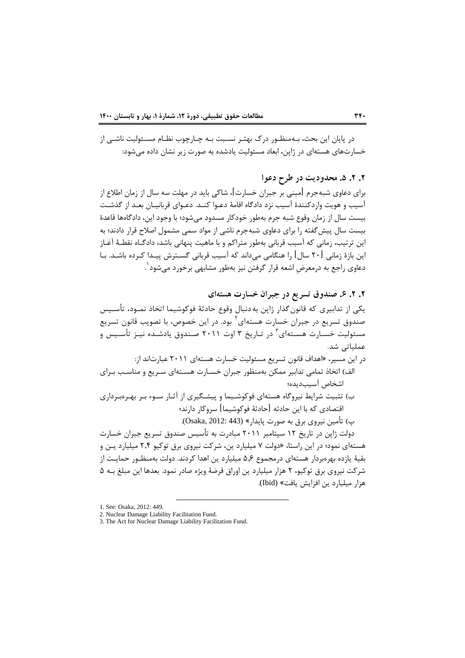در پایان این بحث، بـهمنظـور درک بهتـر نسـبت بـه چـارچوب نظـام مسـئولیت ناشـی از خسارتهای هستهای در ژاپن، ابعاد مستولین یادشده به صورت زیر اشان داده میشود:

# **.2 .2 .5 محدودیت در طرح دعوا**

برای دعاوی شبهجرم [مبنی بر جبران خسارت]، شاکی باید در مهلت سه سال از زمان اطلاع از آسیب و هویت واردکنندۀ آسیب نزد دادگاه اقامۀ دعـوا کنـد. دعـوای قربانیـان بعـد از گذشـت بیست سال از زمان وقوع شبه جرم بهطور خودکار مسدود می شود؛ با وجود این، دادگاهها قاعدۀ بیست سال پیش گفته را برای دعاوی شبهجرم ناشی از مواد سمی مشمول اصلاح قرار دادند؛ به این ترتیب، زمانی که آسیب قربانی بهطور متراکم و با ماهیت پنهانی باشد، دادگـاه نقطـهٔ آغـاز این بازۀ زمانی [۲۰ سال] را هنگامی می داند که آسیب قربانی گسـترش پیـدا کـرده باشـد. بـا دعاوی راجع به درمعرضِ اشعه قرار گرفتن نیز بهطور مشابهی برخورد میشود <sup>۱</sup>.

## **.2 .2 .6 صندوق تسریع در جبران خسارت هستهای**

یکی از تدابیری که قانون گذار ژاپن به دنبال وقوع حادثهٔ فوکوشیما اتخاذ نمـود، تأسـیس صندوق تسریع در جبران خسارت هستهای<sup>۲</sup> بود. در این خصوص، با تصویب قانون تسریع مسئولیت خسـارت هسـتهای<sup>۳</sup> در تـاریخ ۳ اوت ۲۰۱۱ صـندوق یادشـده نیــز تأسـیس و عملیاتی شد

- در این مسیر، »اهداف قااون تسریع مستولین خسارت هستهای 2011 عبارتااد از: الف) اتخاذ تمامی تدابیر ممکن بهمنظور جبران خسـارت هســته|ی سـریع و مناسـب بـرای اشخاص آسیبدیده؛
- ب) تثبیت شرایط نیروگاه هستهای فوکوشـیما و پیشـگیری از آثـار سـوء بـر بهـرهبـرداری اقتصادی که با این حادثه [حادثهٔ فوکوشیما] سروکار دارند؛ پ( تأمین ایروی برق به صورت پایدار« (443 2012: ,Osaka (

دولت ژاپن در تاریخ ۱۲ سپتامبر ۲۰۱۱ مبادرت به تأسیس صندوق تسریع جبران خسارت هستهای نمود؛ در این راستا، «دولت ۷ میلیارد ین، شرکت نیروی برق توکیو ۲٫۴ میلیارد یـن و بقیهٔ یازده بهرهبردار هستهای درمجموع ۵٫۶ میلیارد ین اهدا کردند. دولت بهمنظـور حمایـت از شرکت نیروی برق توکیو، ۲ هزار میلیارد ین اوراق قرضهٔ ویژه صادر نمود. بعدها این مبلغ بـه ۵ هزار میلیارد ین افزایش یافت» (Ibid).

<sup>1.</sup> See: Osaka, 2012: 449.

<sup>2.</sup> Nuclear Damage Liability Facilitation Fund.

<sup>3.</sup> The Act for Nuclear Damage Liability Facilitation Fund.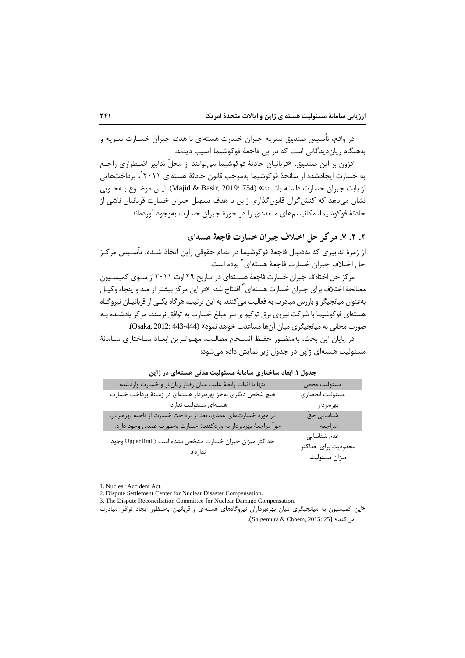در واقع، تأسیس صندوق تسریع جبران خسارت هستهای با هدف جبران خسـارت سـریع و بههنگام زیاندیدگانی است که در پی فاجعهٔ فوکوشیما آسیب دیدند.

افزون بر این صندوق، «قربانیان حادثهٔ فوکوشیما می توانند از محلّ تدابیر اضـطراری راجـع به خسارت ایجادشده از سانحهٔ فوکوشیما بهموجب قانون حادثهٔ هستهای ۲۰۱۱ ٔ، پرداختهایی از بابت جبران خسارت داشته باشـند» (754 :Majid & Basir, 2019). ایـن موضـوع بـهخـوبی نشان میدهد که کنش گران قانون گذاری ژاپن با هدف تسهیل جبران خسارت قربانیان ناشی از حادثهٔ فوکوشیما، مکانیسمهای متعددی را در حوزۀ جبران خسارت بهوجود آوردهاند.

**.2 .2 .7 مرکز حل اختالف جبران خسارت فاجعۀ هستهای**

از زمرۀ تدابیری که بهدنبال فاجعۀ فوکوشیما در نظام حقوقی ژاپن اتخاذ شـده، تأسـیس مرکـز حل اختلاف جبران خسارت فاجعهٔ هستهای<sup>۲</sup> بوده است.

مرکز حل اختلاف جبران خسارت فاجعهٔ هسـتهای در تـاریخ ۲۹ اوت ۲۰۱۱ از سـوی کمیسـیون مصالحهٔ اختلاف برای جبران خسارت هستهای<sup>۳</sup> افتتاح شد؛ «در این مرکز بیشتر از صد و پنجاه وکیـل بهعنوان میانجیگر و بازرس مبادرت به فعالیت میکنند. به این ترتیب، هرگاه یکـی از قربانیـان نیروگـاه هستهای فوکوشیما با شرکت نیروی برق توکیو بر سر مبلغ خسارت به توافق نرسند، مرکز یادشـده بـه صورت مجانی به میانجیگری میان آنها مساعدت خواهد نمود» (444-443 :Osaka, 2012).

در پایان این بحث، بهمنظـور حفـظ انسـجام مطالـب، مهـمتـرین ابعـاد سـاختاری سـامانهٔ مسئولیت هستهای ژاپن در جدول زیر نمایش داده می شود:

| جمون ۱. ابعاد ساختاری سامانه مستولیت مدتی مستنهای در زاپن            |                         |
|----------------------------------------------------------------------|-------------------------|
| تنها با اثبات رابطهٔ علیت میان رفتار زیانبار و خسارت واردشده         | مسئوليت محض             |
| هیچ شخص دیگری بهجز بهرهبردار هستهای در زمینهٔ پرداخت خسارت           | مسئوليت انحصارى         |
| هستهای مسئولیت ندارد.                                                | بهرەبردار               |
| در مورد خسارتهای عمدی، بعد از پرداخت خسارت از ناحیه بهرهبردار،       | شناسایی حق <sup>ّ</sup> |
| حقّ مراجعهٔ بهرهبردار به واردکنندهٔ خسارت بهصورت عمدی وجود دارد.     | مراجعه                  |
| حداكثر ميزان جبران خسارت مشخص نشده است (Upper limit وجود<br>ندار د). | عدم شناسایی             |
|                                                                      | محدوديت براي حداكثر     |
|                                                                      | ميزان مسئوليت           |

**جدول .1 ابعاد ساختاری سامانۀ مسئولیت مدنی هستهای در ژاپن**

1. Nuclear Accident Act.

-

3. The Dispute Reconciliation Committee for Nuclear Damage Compensation.

«این کمیسیون به میانجیگری میان بهرهبرداران نیروگاههای هستهای و قربانیان بهمنظور ایجاد توافق مبادرت (Shigemura & Chhem, 2015: 25) »میکند

<sup>2.</sup> Dispute Settlement Center for Nuclear Disaster Compensation.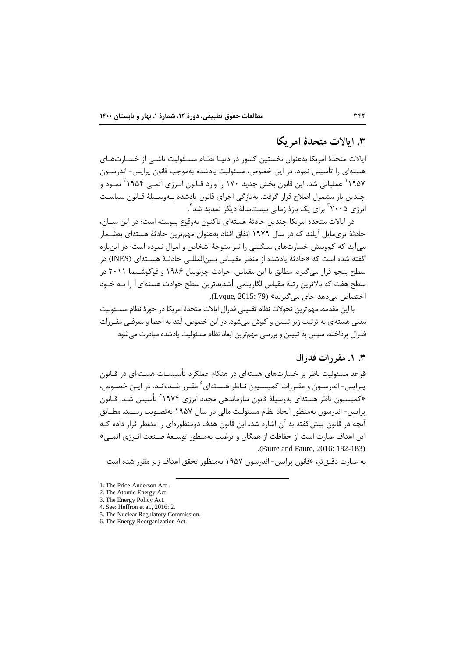## **.3 ایاالت متحدۀ امریکا**

ایالات متحدۀ امریکا بهعنوان نخستین کشور در دنیـا نظـام مسـئولیت ناشـی از خسـارت۱مـای هستهای را تأسیس نمود. در این خصوص، مسئولیت یادشده بهموجب قانون پرایس- اندرســون ۱۹۵۷<sup>'</sup> عملیاتی شد. این قانون بخش جدید ۱۷۰ را وارد قـانون انـرژی اتمـی ۱۹۵۴<sup>۲</sup> نمـود و چندین بار مشمول اصلاح قرار گرفت. بهتازگی اجرای قانون یادشده بـهوسـیلهٔ قـانون سیاسـت نرژی ۲۰۰۵ ٌ برای یک بازۀ زمانی بیستسالۀ دیگر تمدید شد ٔ.

در ایالات متحدۀ امریکا چندین حادثۀ هستهای تاکنون بهوقوع پیوسته است؛ در این میـان، حادثهٔ تریمایل آیلند که در سال ۱۹۷۹ اتفاق افتاد بهعنوان مهمترین حادثهٔ هستهای بهشــمار میآید که کموبیش خسارتهای سنگینی را نیز متوجهٔ اشخاص و اموال نموده است؛ در اینباره گفته شده است که «حادثهٔ یادشده از منظر مقیـاس بـین|لمللـی حادثـهٔ هسـتهای (INES) در سطح پنجم قرار می گیرد. مطابق با این مقیاس، حوادث چرنوبیل ۱۹۸۶ و فوکوشـیما ۲۰۱۱ در سطح هفت که بالاترین رتبهٔ مقیاس لگاریتمی [شدیدترین سطح حوادث هستهای] را بـه خـود اختصاص می دهد جای می گیرند» (Lvque, 2015: 79).

با این مقدمه، مهمترین تحولات نظام تقنینی فدرال ایالات متحدۀ امریکا در حوزۀ نظام مســئولیت مدای هستهای به ترتیب زیر تبیین و کاوش میشود در این خصوص، ابتد به احصا و معرفای مقاررات فدرال پرداخته، سپس به تبیین و بررسی مهمترین ابعاد نظام مسئولیت یادشده مبادرت می شود.

## **.3 .1 مقررات فدرال**

قواعد مسئولیت ناظر بر خسارتهای هستهای در هنگام عملکرد تأسیسـات هســتهای در قــانون پـرایس- اندرسـون و مقـررات کمیسـیون نـاظر هسـتهای<sup>۵</sup> مقـرر شـدهانـد. در ایـن خصـوص، «کمیسیون ناظر هستهای بهوسیلهٔ قانون سازماندهی مجدد انرژی ۱۹۷۴<sup>۶</sup> تأسیس شـد. قـانون پرایس- اندرسون بهمنظور ایجاد نظام مسئولیت مالی در سال ۱۹۵۷ بهتصـویب رسـید. مطـابق آنچه در قانون پیش گفته به آن اشاره شد، این قانون هدف دومنظورهای را مدنظر قرار داده کـه این اهداف عبارت است از حفاظت از همگان و ترغیب بهمنظور توسـعهٔ صـنعت انـرژی اتمـی» )Faure and Faure, 2016: 182-183)

به عبارت دقیقتر، »قااون پرایس- اادرسون 1957 بهمنمور تحقق اهداف زیر مقرر شده اسن:

- 3. The Energy Policy Act.
- 4. See: Heffron et al., 2016: 2.
- 5. The Nuclear Regulatory Commission.

-

6. The Energy Reorganization Act.

<sup>1.</sup> The Price-Anderson Act .

<sup>2.</sup> The Atomic Energy Act.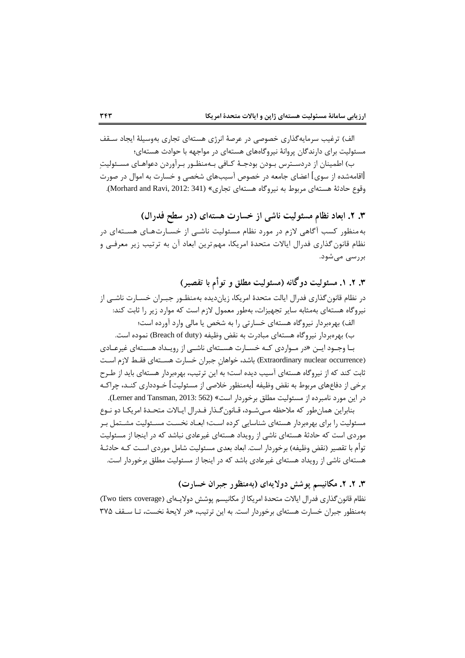الف) ترغیب سرمایهگذاری خصوصی در عرصهٔ انرژی هستهای تجاری بهوسیلهٔ ایجاد سـقف مسئولیت برای دارندگان پروانهٔ نیروگاههای هستهای در مواجهه با حوادث هستهای؛

ب) اطمینان از دردسـترس بـودن بودجـهٔ کـافی بـهمنظـور بـرآوردن دعواهـای مسـئولیت ]اقامهشده از سوی[ اعضای اامعه در خصوص آسیبهای شخصی و خسارت به اموال در صورت وقوع حادثهٔ هستهای مربوط به نیروگاه هستهای تجاری» (Morhard and Ravi, 2012: 341).

**.3 .2 ابعاد نظام مسئولیت ناشی از خسارت هستهای )در سطح فدرال(**  به منظور کسب آگاهی لازم در مورد نظام مسئولیت ناشـی از خسـارت@عـای هسـتهای در نظام قانون گذاری فدرال ایالات متحدۀ امریکا، مهم ترین ابعاد آن به ترتیب زیر معرفـی و بررسی میشود

**.3 .2 .1 مسئولیت دوگانه )مسئولیت مطلق و توأم با تقصیر(** در نظام قانون گذاری فدرال ایالت متحدۀ امریکا، زیاندیده بهمنظـور جبـران خسـارت ناشـی از ایروگاه هستهای بهمثابه سایر تبهیزات، بهطور معمول تزس اسن که موارد زیر را ثابن کند: الف) بهرهبردار نیروگاه هستهای خسارتی را به شخص یا مالی وارد آورده است؛

ب) بهرهبردار نیروگاه هستهای مبادرت به نقض وظیفه (Breach of duty) نموده است. بـا وجـود ایــن «در مــواردی کــه خســارت هســتهای ناشــی از رویــداد هســتهای غیرعــادی

(Extraordinary nuclear occurrence) باشد، خواهانِ جبران خسارت هسـتهای فقـط لازم اسـت ثابت کند که از نیروگاه هستهای آسیب دیده است؛ به این ترتیب، بهرهبردار هستهای باید از طـرح برخی از دفاعهای مربوط به نقض وظیفه [بهمنظور خلاصی از مسئولیت] خــودداری کنــد، چراکــه در این مورد نامبرده از مسئولیت مطلق برخوردار است» (Lerner and Tansman, 2013: 562).

بنابراین همان طور که ملاحظه مے شـود، قـانون گـذار فـدرال ایـالات متحـدۀ امریکـا دو نـوع مسئولیت را برای بهرهبردار هستهای شناسایی کرده است؛ ابعـاد نخسـت مسـئولیت مشـتمل بـر موردی است که حادثهٔ هستهای ناشی از رویداد هستهای غیرعادی نباشد که در اینجا از مسئولیت توأم با تقصیر (نقض وظیفه) برخوردار است. ابعاد بعدی مسئولیت شامل موردی اسـت کـه حادثـهٔ هستهای ناشی از رویداد هستهای غیرعادی باشد که در اینجا از مسئولیت مطلق برخوردار است.

**.3 .2 .2 مکانیسم پوشش دوالیهای )بهمنظور جبران خسارت(**

نظام قانون گذاری فدرال ایالات متحدۀ امریکا از مکانیسم پوشش دولایـهای (Two tiers coverage) بهمنظور جبران خسارت هستهای برخوردار است. به این ترتیب، «در لایحهٔ نخست، تـا سـقف 7۷۵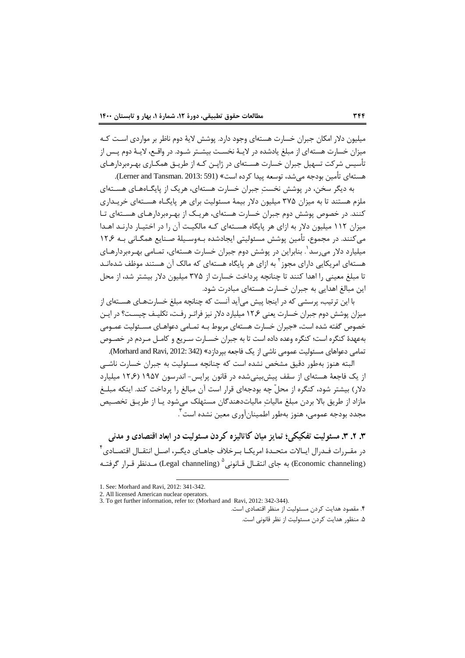میلیون دلار امکان جبران خسارت هستهای وجود دارد. پوشش لایهٔ دوم ناظر بر مواردی است کـه میزان خسارت هستهای از مبلغ یادشده در لایـهٔ نخسـت بیشـتر شـود. در واقـع، لایـهٔ دوم پـس از تأسیس شرکت تسهیل جبران خسارت هســتهای در ژاپــن کـه از طریــق همکــاری بهـرهبردارهــای هستهای تأمین بودجه می شد، توسعه پیدا کرده است» (Lerner and Tansman. 2013: 591).

به دیگر سخن، در پوشش نخستِ جبران خسارت هستهای، هریک از پایگـاههـای هسـتهای ملزم هستند تا به میزان ۳۷۵ میلیون دلار بیمهٔ مسئولیت برای هر پایگـاه هســتهای خریـداری کنند. در خصوص پوشش دوم جبران خسارت هستهای، هریـک از بهـرهبردارهـای هسـتهای تـا میزان ۱۱۲ میلیون دلار به ازای هر پایگاه هسـتهای کـه مالکیـت آن را در اختیـار دارنـد اهـدا می کنند. در مجموع، تأمین پوشش مسئولیتی ایجادشده بـهوسـیلهٔ صـنایع همگـانی بـه ۱۲٫۶ میلیارد دلار میرسد <sup>۱</sup>. بنابراین در پوشش دوم جبران خسارت هستهای، تمـامی بهـرهبردارهـای هستهای امریکایی دارای مجوز<sup>۲</sup> به ازای هر پایگاه هستهای که مالک آن هستند موظف شدهانـد تا مبلغ معینی را اهدا کنند تا چنانچه پرداخت خسارت از ۳۷۵ میلیون دلار بیشتر شد، از محل این مبالغ اهدایی به جبران خسارت هستهای مبادرت شود.

با این ترتیب، پرسشی که در اینجا پیش میآید آنست که چنانچه مبلغ خسارتهـای هســتهای از میزان پوشش دوم جبران خسارت یعنی ۱۲٫۶ میلیارد دلار نیز فراتـر رفـت، تکلیـف چیسـت؟ در ایـن خصوص گفته شده است، «جبران خسارت هستهای مربوط بـه تمـامی دعواهـای مسـئولیت عمـومی بهعهدۀ کنگره اسن؛ کنگره وعده داده اسن تا به ابران خساارت ساریع و کامال ماردس در خصاوص تمامی دعواهای مسئولیت عمومی ناشی از یک فاجعه بپردازد» (Morhard and Ravi, 2012: 342).

البته هنوز بهطور دقیق مشخص نشده است که چنانچه مسئولیت به جبران خسارت ناشبی از یک فاجعهٔ هستهای از سقف پیش بینی شده در قانون پرایس- اندرسون ۱۹۵۷ (۱۲٫۶ میلیارد دلار) بیشتر شود، کنگره از محلّ چه بودجهای قرار است آن مبالغ را پرداخت کند. اینکه مبلــغ مازاد از طریق بالا بردن مبلغ مالیات مالیاتدهندگان مستهلک میشود یـا از طریـق تخصـیص مجدد بودجه عمومی، هنوز بهطور اطمینانآوری معین نشده است<sup>۳</sup> 1

**.3 .2 .3 مسئولیت تفکیکی؛ تمایز میان کاتالیزه کردن مسئولیت در ابعاد اقتصادی و مدنی**  در مقـررات فـدرال ایـالات متحـدۀ امریکـا بـرخلاف جاهـای دیگـر، اصـل انتقـال اقتصـادی<sup>۴</sup> (Economic channeling) به جای انتقــال قــانونی $^{\circ}$  (Legal channeling) مــدنظر قــرار گرفتــه

1

<sup>1.</sup> See: Morhard and Ravi, 2012: 341-342.

<sup>2.</sup> All licensed American nuclear operators.

<sup>3.</sup> To get further information, refer to: (Morhard and Ravi, 2012: 342-344).

<sup>4</sup> مقصود هداین کردن مستولین از منمر اقتصادی اسن

<sup>5</sup> منمور هداین کردن مستولین از امر قااوای اسن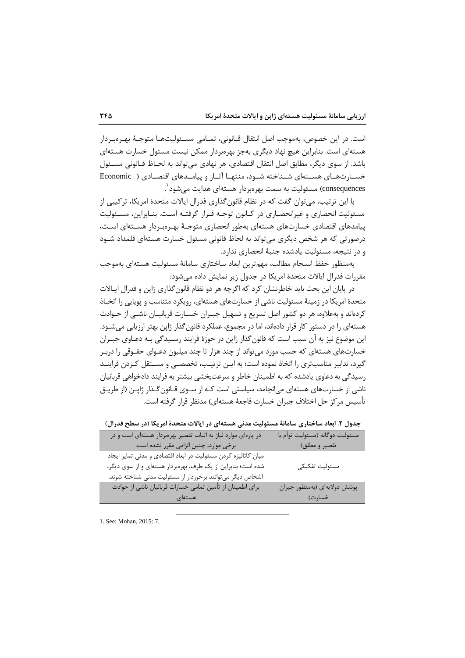است. در این خصوص، بهموجب اصل انتقال قـانونی، تمـامی مسـئولیتهـا متوجـهٔ بهـرهبـردار هستهای است. بنابراین هیچ نهاد دیگری بهجز بهرهبردار ممکن نیست مسئول خسارت هستهای باشد. از سوی دیگر، مطابق اصل انتقال اقتصادی، هر نهادی می تواند به لحـاظ قــانونی مســئول خسارتهای هستهای شـناخته شـود، منتهـا آثـار و پیامـدهای اقتصـادی ( Economic consequences )مستولین به سمن بهرهبردار هستهای هداین میشود 1

با این ترتیب، می توان گفت که در نظام قانون گذاری فدرال ایالات متحدۀ امریکا، ترکیبی از مسئولیت انحصاری و غیرانحصـاری در کـانون توجـه قـرار گرفتـه اسـت. بنـابراین، مسـئولیت پیامدهای اقتصادی خسارتهای هستهای بهطور انحصاری متوجـهٔ بهـرمبردار هســتهای اسـت، درصورتی که هر شخص دیگری میتواند به لحاظ قانونی مسئول خسارت هستهای قلمداد شــود و در نتیجه، مسئولیت یادشده جنبهٔ انحصاری ندارد.

بهمنظور حفظ انسجام مطالب، مهمترین ابعاد ساختاری سامانهٔ مسئولیت هستهای بهموجب مقررات فدرال ایالات متحدۀ امریکا در جدول زیر نمایش داده میشود:

در پایان این بحث باید خاطرنشان کرد که اگرچه هر دو نظام قانون گذاری ژاپن و فدرال ایـالات متحدۀ امریکا در زمینۀ مسئولیت ناشی از خسارتهای هستهای، رویکرد متناسب و پویایی را اتخـاذ کردهاند و بهعلاوه، هر دو کشور اصل تسریع و تسهیل جبـران خسـارت قربانیـان ناشــی از حــوادث هستهای را در دستور کار قرار دادهاند، اما در مجموع، عملکرد قانون گذار ژاپن بهتر ارزیابی می شــود. این موضوع نیز به آن سبب است که قانون گذار ژاپن در حوزۀ فرایند رسـیدگی بــه دعــاوی جبــران خسارتهای هستهای که حسب مورد میتواند از چند هزار تا چند میلیون دعـوای حقـوقی را دربـر گیرد، تدابیر مناسبتری را اتخاذ نموده است؛ به ایـن ترتیـب، تخصصـی و مسـتقل کـردن فراینـد رسیدگی به دعاوی یادشده که به اطمینان خاطر و سرعنبخشی بیشتر به فرایند دادخواهی قرباایان ناشی از خسارتهای هستهای می|نجامد، سیاستی است کـه از سـوی قـانون *گ*ـذار ژاپـن (از طریـق تأسیس مرکز حل اختلاف جبران خسارت فاجعهٔ هستهای) مدنظر قرار گرفته است.

**جدول .2 ابعاد ساختاری سامانۀ مسئولیت مدنی هستهای در ایاالت متحدۀ امریکا )در سطح فدرال(**

| در پارهای موارد نیاز به اثبات تقصیر بهرهبردار هستهای است و در  | مسئوليت دوگانه (مسئوليت توأم با |
|----------------------------------------------------------------|---------------------------------|
| برخی موارد، چنین الزامی مقرر نشده است.                         | تقصير و مطلق)                   |
| میان کاتالیزه کردن مسئولیت در ابعاد اقتصادی و مدنی تمایز ایجاد |                                 |
| شده است؛ بنابراین از یک طرف، بهرهبردار هستهای و از سوی دیگر،   | مسئوليت تفكيكي                  |
| اشخاص دیگر میتوانند برخوردار از مسئولیت مدنی شناخته شوند.      |                                 |
| برای اطمینان از تأمین تمامی خسارات قربانیان ناشی از حوادث      | پوشش دولايهای (بهمنظور جبران    |
| هستهای.                                                        | خسارت)                          |

1. See: Mohan, 2015: 7.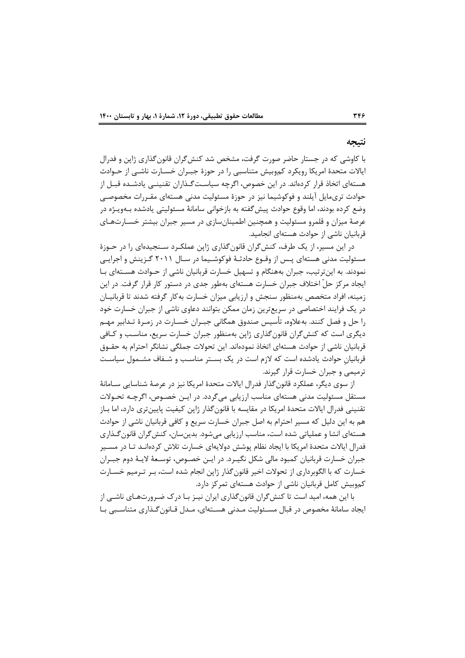#### **نتیجه**

با کاوشی که در جستار حاضر صورت گرفت، مشخص شد کنش گران قانون گذاری ژاپن و فدرال ایالات متحدۀ امریکا رویکرد کموبیش متناسبی را در حوزۀ جبـران خسـارت ناشـی از حـوادث هستهای اتخاذ قرار کردهاند. در این خصوص، اگرچه سیاست گـذاران تقنینــی یادشـده قبــل از حوادث تریمایل آیلند و فوکوشیما نیز در حوزۀ مسئولیت مدنی هستهای مقـررات مخصوصـی وضع کرده بودند، اما وقوع حوادث پیش گفته به بازخوانی سامانهٔ مسئولیتی یادشده بـهویـژه در عرصهٔ میزان و قلمرو مسئولیت و همچنین اطمینانسازی در مسیر جبران بیشتر خسـارتهـای قربانیان ناشی از حوادث هستهای انجامید.

در این مسیر، از یک طرف، کنش گران قانون گذاری ژاپن عملک رد سـنجیدهای را در حـوزۀ مسئولیت مدنی هستهای پـس از وقـوع حادثـهٔ فوکوشـیما در سـال ۲۰۱۱ گـزینش و اجرایـی نمودند. به اینترتیب، جبران بههنگام و تسهیل خسارت قربانیان ناشی از حـوادث هســتهای بـا ایجاد مرکز حلّ اختلاف جبران خسارت هستهای بهطور جدی در دستور کار قرار گرفت. در این زمینه، افراد متخصص بهمنظور سنجش و ارزیابی میزان خسارت بهکار گرفته شدند تا قربانیـان در یک فرایند اختصاصی در سریعترین زمان ممکن بتوانند دعاوی ناشی از جبران خسارت خود را حل و فصل کنند. بهعلاوه، تأسیس صندوق همگانی جبـران خسـارت در زمـرۀ تـدابیر مهـم دیگری است که کنش گران قانونگذاری ژاپن بهمنظور جبران خسارت سریع، مناسب و کـافی قربانیان ناشی از حوادث هستهای اتخاذ نمودهاند. این تحولات جملگی نشانگر احترام به حقــوق قربانیانِ حوادث یادشده است که لازم است در یک بستر مناسب و شـفاف مشـمول سیاسـت ترمیمی و جبران خسارت قرار گیرند.

از سوی دیگر، عملکرد قانون گذار فدرال ایالات متحدۀ امریکا نیز در عرصۀ شناسایی ســامانۀ مستقل مسئولیت مدنی هستهای مناسب ارزیابی میگردد. در ایـن خصـوص، اگرچـه تحـولات تقنینی فدرال ایالات متحدۀ امریکا در مقایسه با قانون گذار ژاپن کیفیت پایینتری دارد، اما بـاز هم به این دلیل که مسیر احترام به اصل جبران خسارت سریع و کافی قربانیان ناشی از حوادث هستهای انشا و عملیاتی شده است، مناسب ارزیابی میشود. بدینسان، کنش گران قانون گـذاری فدرال ایالات متحدۀ امریکا با ایجاد نظام پوشش دولایهای خسارت تلاش کردهانـد تـا در مسـير جبران خسارت قربانیان کمبود مالی شکل نگیـرد. در ایــن خصـوص، توســعهٔ لایــهٔ دوم جبــران خسارت که با الگوبرداری از تحولات اخیر قانونگذار ژاپن انجام شده است، بـر تـرمیم خســارت کموبیش کامل قربانیان ناشی از حوادث هستهای تمرکز دارد.

با این همه، امید است تا کنش گران قانونگذاری ایران نیـز بـا درک ضـرورتهـای ناشـی از ایجاد سامانهٔ مخصوص در قبال مسـئولیت مـدنی هسـتهای، مـدل قـانون گـذاری متناسـبی بـا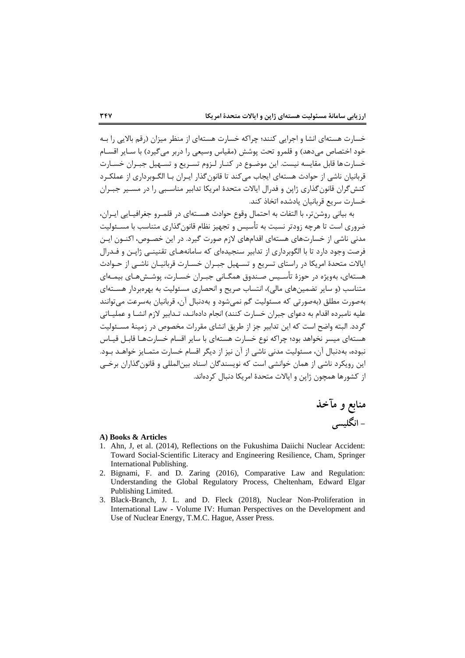خسارت هستهای انشا و اجرایی کنند؛ چراکه خسارت هستهای از منظر میزان (رقم بالایی را بـه خود اختصاص میدهد) و قلمرو تحت پوشش (مقیاس وسیعی را دربر می گیرد) با سـایر اقســام خسارتها قابل مقایسه نیست. این موضـوع در کنـار لـزوم تسـریع و تسـهیل جبـران خسـارت قربانیان ناشی از حوادث هستهای ایجاب می کند تا قانون گذار ایـران بـا الگـوبرداری از عملکـرد کنش گران قانون گذاری ژاپن و فدرال ایالات متحدۀ امریکا تدابیر مناسـبی را در مسـیر جبـران خسارت سریع قربانیان یادشده اتخاذ کند.

به بیانی روشنتر، با التفات به احتمال وقوع حوادث هسـتهای در قلمـرو جغرافیـایی ایـران، ضروری است تا هرچه زودتر نسبت به تأسیس و تجهیز نظام قانون گذاری متناسب با مســئولیت مدنی ناشی از خسارتهای هستهای اقدامهای لازم صورت گیرد. در این خصـوص، اکنــون ایــن فرصت وجود دارد تا با الگوبرداری از تدابیر سنجیدهای که سامانههـای تقنینـی ژاپـن و فـدرال ایالات متحدۀ امریکا در راستای تسریع و تسـهیل جبـران خسـارت قربانیـان ناشـی از حـوادث هستهای، بهویژه در حوزۀ تأسـیس صـندوق همگــانی جبــران خســارت، پوشــشهــای بیمــهای متناسب (و سایر تضمینهای مالی)، انتساب صریح و انحصاری مسئولیت به بهرهبردار هسـتهای بهصورت مطلق (بهصورتی که مسئولیت گم نمی شود و بهدنبال آن، قربانیان بهسرعت می توانند علیه نامبرده اقدام به دعوای جبران خسارت کنند) انجام دادهانـد، تـدابیر لازم انشـا و عملیــاتی گردد. البته واضح است که این تدابیر جز از طریق انشای مقررات مخصوص در زمینهٔ مسـئولیت هستهای میسر نخواهد بود؛ چراکه نوع خسارت هستهای با سایر اقسام خسارتها قابال قیاس نبوده، بهدنبال آن، مسئولیت مدنی ناشی از آن نیز از دیگر اقسام خسارت متمـایز خواهـد بـود. این رویکرد ناشی از همان خوانشی است که نویسندگان اسناد بینالمللی و قانون گذاران برخبی از کشورها همچون ژاپن و ایالات متحدۀ امریکا دنبال کردهاند.

> **منابع و مآخذ - انگلیسی**

#### **A) Books & Articles**

- 1. Ahn, J, et al. (2014), Reflections on the Fukushima Daiichi Nuclear Accident: Toward Social-Scientific Literacy and Engineering Resilience, Cham, Springer International Publishing.
- 2. Bignami, F. and D. Zaring (2016), Comparative Law and Regulation: Understanding the Global Regulatory Process, Cheltenham, Edward Elgar Publishing Limited.
- 3. Black-Branch, J. L. and D. Fleck (2018), Nuclear Non-Proliferation in International Law - Volume IV: Human Perspectives on the Development and Use of Nuclear Energy, T.M.C. Hague, Asser Press.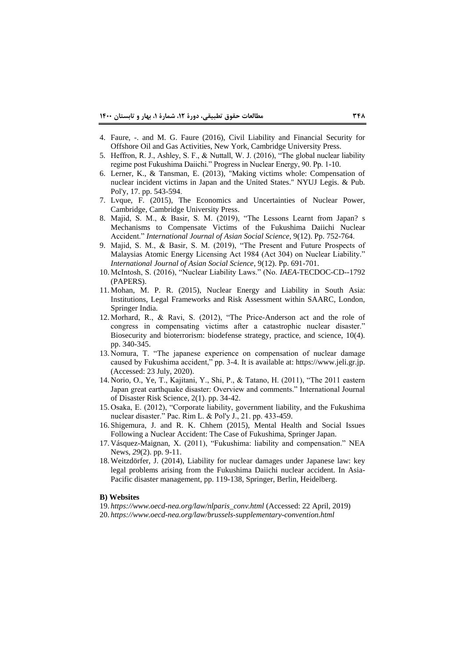- 4. Faure, -. and M. G. Faure (2016), Civil Liability and Financial Security for Offshore Oil and Gas Activities, New York, Cambridge University Press.
- 5. Heffron, R. J., Ashley, S. F., & Nuttall, W. J. (2016), "The global nuclear liability regime post Fukushima Daiichi." Progress in Nuclear Energy, 90. Pp. 1-10.
- 6. Lerner, K., & Tansman, E. (2013), "Making victims whole: Compensation of nuclear incident victims in Japan and the United States." NYUJ Legis. & Pub. Pol'y, 17. pp. 543-594.
- 7. Lvque, F. (2015), The Economics and Uncertainties of Nuclear Power, Cambridge, Cambridge University Press.
- 8. Majid, S. M., & Basir, S. M. (2019), "The Lessons Learnt from Japan? s Mechanisms to Compensate Victims of the Fukushima Daiichi Nuclear Accident." *International Journal of Asian Social Science*, 9(12). Pp. 752-764.
- 9. Majid, S. M., & Basir, S. M. (2019), "The Present and Future Prospects of Malaysias Atomic Energy Licensing Act 1984 (Act 304) on Nuclear Liability." *International Journal of Asian Social Science*, 9(12). Pp. 691-701.
- 10. McIntosh, S. (2016), "Nuclear Liability Laws." (No. *IAEA*-TECDOC-CD--1792 (PAPERS).
- 11. Mohan, M. P. R. (2015), Nuclear Energy and Liability in South Asia: Institutions, Legal Frameworks and Risk Assessment within SAARC, London, Springer India.
- 12. Morhard, R., & Ravi, S. (2012), "The Price-Anderson act and the role of congress in compensating victims after a catastrophic nuclear disaster." Biosecurity and bioterrorism: biodefense strategy, practice, and science, 10(4). pp. 340-345.
- 13. Nomura, T. "The japanese experience on compensation of nuclear damage caused by Fukushima accident," pp. 3-4. It is available at: https://www.jeli.gr.jp. (Accessed: 23 July, 2020).
- 14. Norio, O., Ye, T., Kajitani, Y., Shi, P., & Tatano, H. (2011), "The 2011 eastern Japan great earthquake disaster: Overview and comments." International Journal of Disaster Risk Science, 2(1). pp. 34-42.
- 15. Osaka, E. (2012), "Corporate liability, government liability, and the Fukushima nuclear disaster." Pac. Rim L. & Pol'y J., 21. pp. 433-459.
- 16. Shigemura, J. and R. K. Chhem (2015), Mental Health and Social Issues Following a Nuclear Accident: The Case of Fukushima, Springer Japan.
- 17. Vásquez-Maignan, X. (2011), "Fukushima: liability and compensation." NEA News, *29*(2). pp. 9-11.
- 18. Weitzdörfer, J. (2014), Liability for nuclear damages under Japanese law: key legal problems arising from the Fukushima Daiichi nuclear accident. In Asia-Pacific disaster management, pp. 119-138, Springer, Berlin, Heidelberg.

#### **B) Websites**

19. *https://www.oecd-nea.org/law/nlparis\_conv.html* (Accessed: 22 April, 2019)

20. *https://www.oecd-nea.org/law/brussels-supplementary-convention.html*